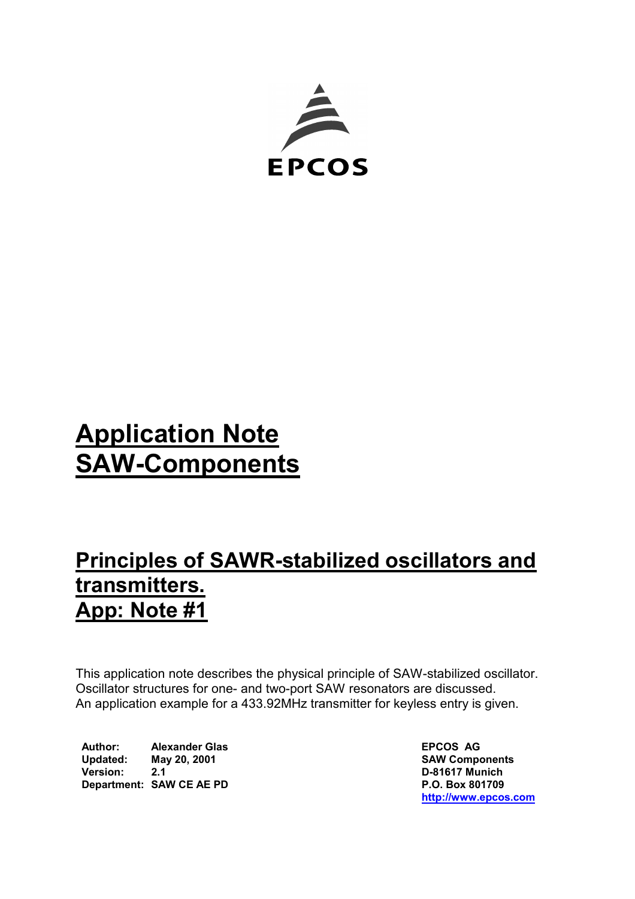

# **Application Note SAW-Components**

# **Principles of SAWR-stabilized oscillators and transmitters. App: Note #1**

This application note describes the physical principle of SAW-stabilized oscillator. Oscillator structures for one- and two-port SAW resonators are discussed. An application example for a 433.92MHz transmitter for keyless entry is given.

 **Author: Alexander Glas EPCOS AG Updated: May 20, 2001 SAW Components Version: 2.1 D-81617 Munich Department: SAW CE AE PD** P.O. Box 801709

 **[http://www.epcos.com](http://www.epcos.com/)**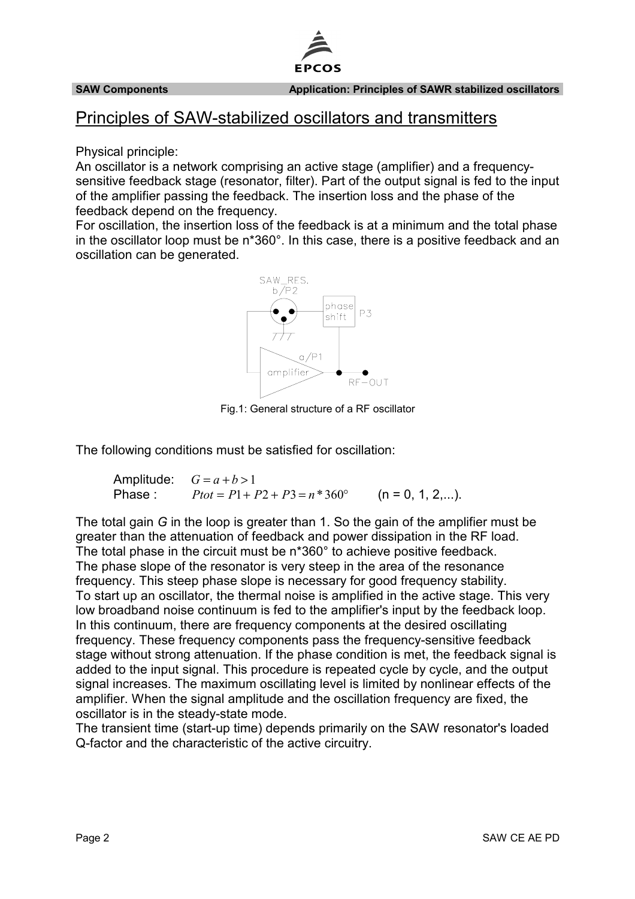

# Principles of SAW-stabilized oscillators and transmitters

Physical principle:

An oscillator is a network comprising an active stage (amplifier) and a frequencysensitive feedback stage (resonator, filter). Part of the output signal is fed to the input of the amplifier passing the feedback. The insertion loss and the phase of the feedback depend on the frequency.

For oscillation, the insertion loss of the feedback is at a minimum and the total phase in the oscillator loop must be n\*360°. In this case, there is a positive feedback and an oscillation can be generated.



Fig.1: General structure of a RF oscillator

The following conditions must be satisfied for oscillation:

Amplitude:  $G = a + b > 1$ Phase :  $P_{tot} = P1 + P2 + P3 = n * 360^{\circ}$  (n = 0, 1, 2,...).

The total gain *G* in the loop is greater than 1. So the gain of the amplifier must be greater than the attenuation of feedback and power dissipation in the RF load. The total phase in the circuit must be n\*360° to achieve positive feedback. The phase slope of the resonator is very steep in the area of the resonance frequency. This steep phase slope is necessary for good frequency stability. To start up an oscillator, the thermal noise is amplified in the active stage. This very low broadband noise continuum is fed to the amplifier's input by the feedback loop. In this continuum, there are frequency components at the desired oscillating frequency. These frequency components pass the frequency-sensitive feedback stage without strong attenuation. If the phase condition is met, the feedback signal is added to the input signal. This procedure is repeated cycle by cycle, and the output signal increases. The maximum oscillating level is limited by nonlinear effects of the amplifier. When the signal amplitude and the oscillation frequency are fixed, the oscillator is in the steady-state mode.

The transient time (start-up time) depends primarily on the SAW resonator's loaded Q-factor and the characteristic of the active circuitry.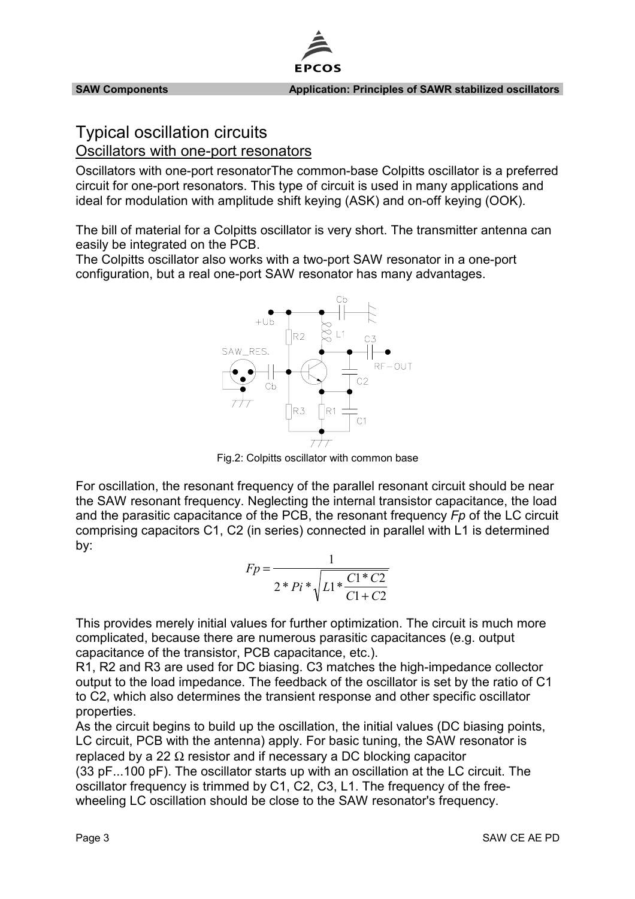

# Typical oscillation circuits

Oscillators with one-port resonators

Oscillators with one-port resonatorThe common-base Colpitts oscillator is a preferred circuit for one-port resonators. This type of circuit is used in many applications and ideal for modulation with amplitude shift keying (ASK) and on-off keying (OOK).

The bill of material for a Colpitts oscillator is very short. The transmitter antenna can easily be integrated on the PCB.

The Colpitts oscillator also works with a two-port SAW resonator in a one-port configuration, but a real one-port SAW resonator has many advantages.



Fig.2: Colpitts oscillator with common base

For oscillation, the resonant frequency of the parallel resonant circuit should be near the SAW resonant frequency. Neglecting the internal transistor capacitance, the load and the parasitic capacitance of the PCB, the resonant frequency *Fp* of the LC circuit comprising capacitors C1, C2 (in series) connected in parallel with L1 is determined by:

| $Fp =$ |                                         |  |           |
|--------|-----------------------------------------|--|-----------|
|        | $2 * Pi * \sqrt{L1 * \frac{C1 * C2}{}}$ |  |           |
|        |                                         |  | $C1 + C2$ |

This provides merely initial values for further optimization. The circuit is much more complicated, because there are numerous parasitic capacitances (e.g. output capacitance of the transistor, PCB capacitance, etc.).

R1, R2 and R3 are used for DC biasing. C3 matches the high-impedance collector output to the load impedance. The feedback of the oscillator is set by the ratio of C1 to C2, which also determines the transient response and other specific oscillator properties.

As the circuit begins to build up the oscillation, the initial values (DC biasing points, LC circuit, PCB with the antenna) apply. For basic tuning, the SAW resonator is replaced by a 22 Ω resistor and if necessary a DC blocking capacitor (33 pF...100 pF). The oscillator starts up with an oscillation at the LC circuit. The oscillator frequency is trimmed by C1, C2, C3, L1. The frequency of the freewheeling LC oscillation should be close to the SAW resonator's frequency.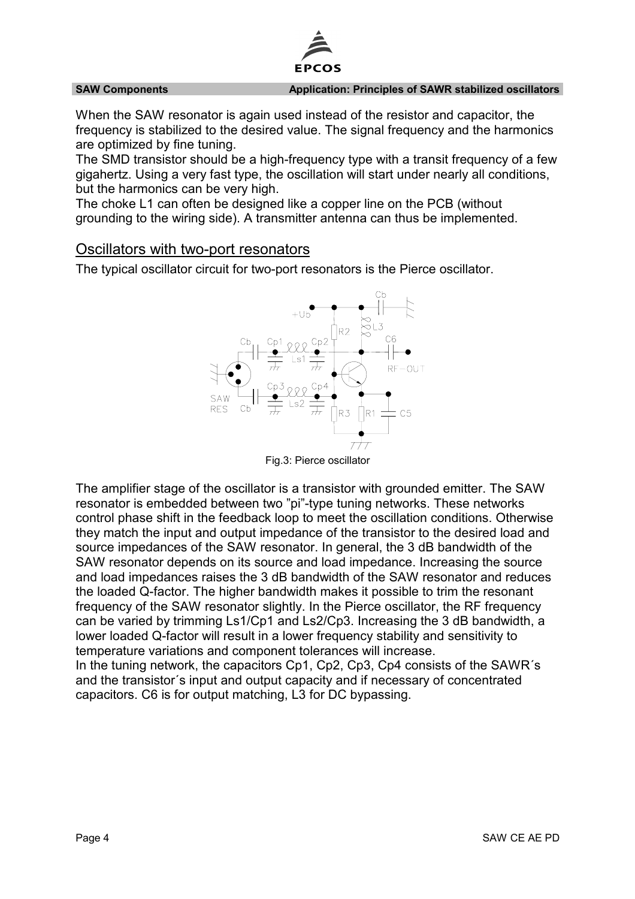

### **SAW Components Application: Principles of SAWR stabilized oscillators**

When the SAW resonator is again used instead of the resistor and capacitor, the frequency is stabilized to the desired value. The signal frequency and the harmonics are optimized by fine tuning.

The SMD transistor should be a high-frequency type with a transit frequency of a few gigahertz. Using a very fast type, the oscillation will start under nearly all conditions, but the harmonics can be very high.

The choke L1 can often be designed like a copper line on the PCB (without grounding to the wiring side). A transmitter antenna can thus be implemented.

## Oscillators with two-port resonators

The typical oscillator circuit for two-port resonators is the Pierce oscillator.



Fig.3: Pierce oscillator

The amplifier stage of the oscillator is a transistor with grounded emitter. The SAW resonator is embedded between two "pi"-type tuning networks. These networks control phase shift in the feedback loop to meet the oscillation conditions. Otherwise they match the input and output impedance of the transistor to the desired load and source impedances of the SAW resonator. In general, the 3 dB bandwidth of the SAW resonator depends on its source and load impedance. Increasing the source and load impedances raises the 3 dB bandwidth of the SAW resonator and reduces the loaded Q-factor. The higher bandwidth makes it possible to trim the resonant frequency of the SAW resonator slightly. In the Pierce oscillator, the RF frequency can be varied by trimming Ls1/Cp1 and Ls2/Cp3. Increasing the 3 dB bandwidth, a lower loaded Q-factor will result in a lower frequency stability and sensitivity to temperature variations and component tolerances will increase. In the tuning network, the capacitors Cp1, Cp2, Cp3, Cp4 consists of the SAWR´s and the transistor´s input and output capacity and if necessary of concentrated capacitors. C6 is for output matching, L3 for DC bypassing.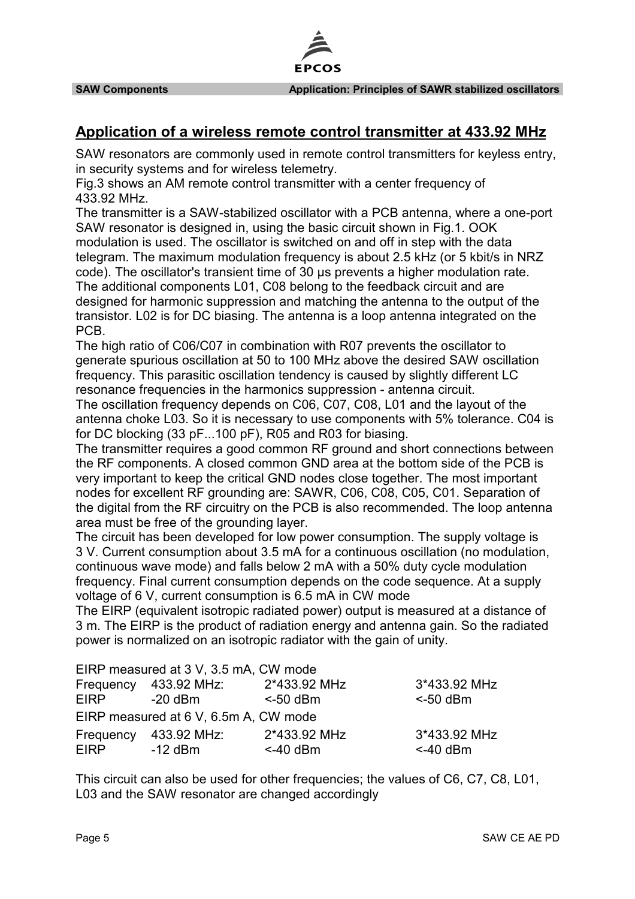

# **Application of a wireless remote control transmitter at 433.92 MHz**

SAW resonators are commonly used in remote control transmitters for keyless entry, in security systems and for wireless telemetry.

Fig.3 shows an AM remote control transmitter with a center frequency of 433.92 MHz.

The transmitter is a SAW-stabilized oscillator with a PCB antenna, where a one-port SAW resonator is designed in, using the basic circuit shown in Fig.1. OOK modulation is used. The oscillator is switched on and off in step with the data telegram. The maximum modulation frequency is about 2.5 kHz (or 5 kbit/s in NRZ code). The oscillator's transient time of 30 µs prevents a higher modulation rate. The additional components L01, C08 belong to the feedback circuit and are designed for harmonic suppression and matching the antenna to the output of the transistor. L02 is for DC biasing. The antenna is a loop antenna integrated on the PCB.

The high ratio of C06/C07 in combination with R07 prevents the oscillator to generate spurious oscillation at 50 to 100 MHz above the desired SAW oscillation frequency. This parasitic oscillation tendency is caused by slightly different LC resonance frequencies in the harmonics suppression - antenna circuit.

The oscillation frequency depends on C06, C07, C08, L01 and the layout of the antenna choke L03. So it is necessary to use components with 5% tolerance. C04 is for DC blocking (33 pF...100 pF), R05 and R03 for biasing.

The transmitter requires a good common RF ground and short connections between the RF components. A closed common GND area at the bottom side of the PCB is very important to keep the critical GND nodes close together. The most important nodes for excellent RF grounding are: SAWR, C06, C08, C05, C01. Separation of the digital from the RF circuitry on the PCB is also recommended. The loop antenna area must be free of the grounding layer.

The circuit has been developed for low power consumption. The supply voltage is 3 V. Current consumption about 3.5 mA for a continuous oscillation (no modulation, continuous wave mode) and falls below 2 mA with a 50% duty cycle modulation frequency. Final current consumption depends on the code sequence. At a supply voltage of 6 V, current consumption is 6.5 mA in CW mode

The EIRP (equivalent isotropic radiated power) output is measured at a distance of 3 m. The EIRP is the product of radiation energy and antenna gain. So the radiated power is normalized on an isotropic radiator with the gain of unity.

|             | EIRP measured at 3 V, 3.5 mA, CW mode |              |              |
|-------------|---------------------------------------|--------------|--------------|
|             | Frequency 433.92 MHz:                 | 2*433.92 MHz | 3*433.92 MHz |
| <b>EIRP</b> | $-20$ dBm                             | $<$ -50 dBm  | $<$ -50 dBm  |
|             | EIRP measured at 6 V, 6.5m A, CW mode |              |              |
| Frequency   | 433.92 MHz:                           | 2*433.92 MHz | 3*433.92 MHz |
| EIRP.       | $-12$ dBm                             | $<$ -40 dBm  | $<$ -40 dBm  |

This circuit can also be used for other frequencies; the values of C6, C7, C8, L01, L03 and the SAW resonator are changed accordingly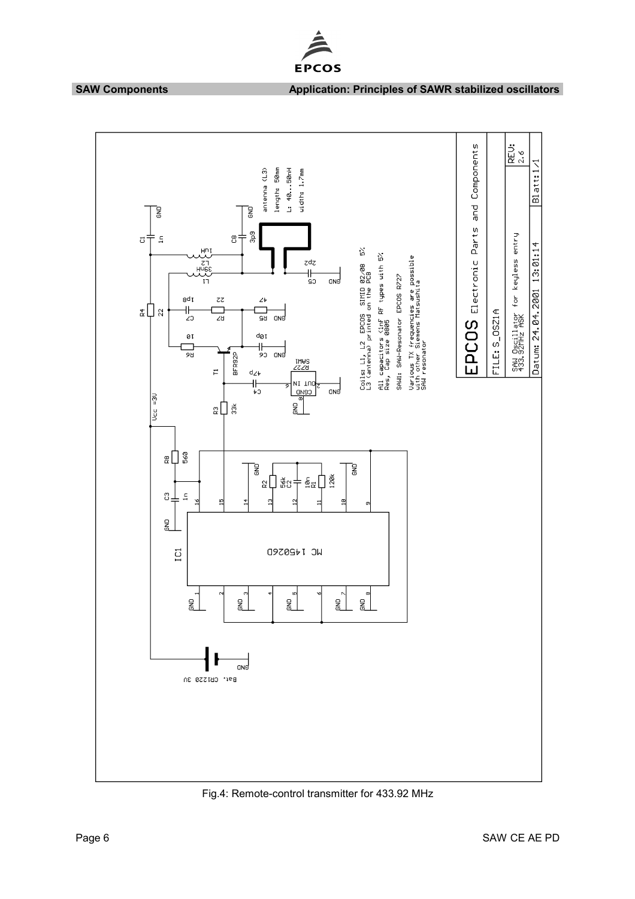

## **SAW Components Application: Principles of SAWR stabilized oscillators**



### Fig.4: Remote-control transmitter for 433.92 MHz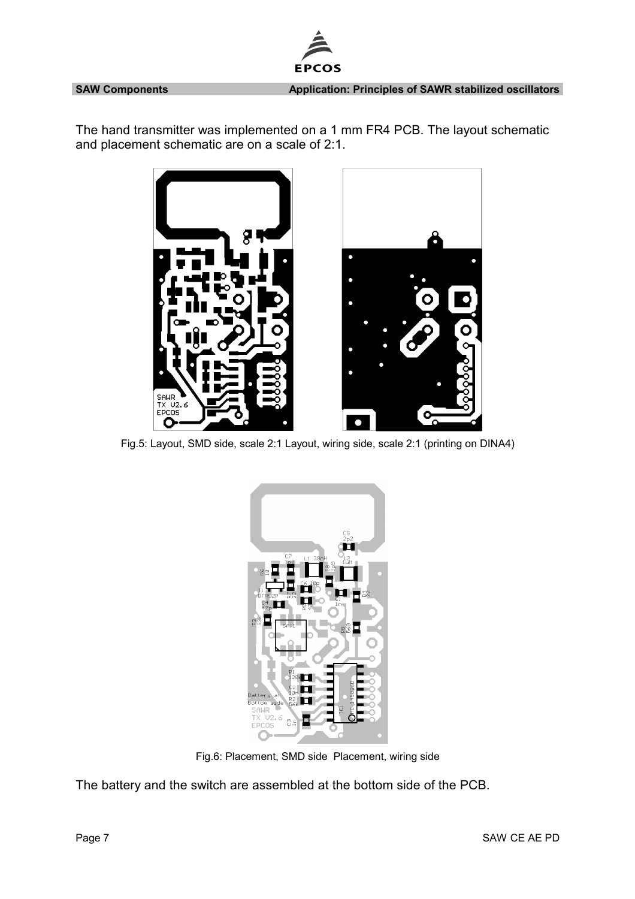**SAW Components Application: Principles of SAWR stabilized oscillators**

The hand transmitter was implemented on a 1 mm FR4 PCB. The layout schematic and placement schematic are on a scale of 2:1.

ЕP

OS



Fig.5: Layout, SMD side, scale 2:1 Layout, wiring side, scale 2:1 (printing on DINA4)



Fig.6: Placement, SMD side Placement, wiring side

The battery and the switch are assembled at the bottom side of the PCB.